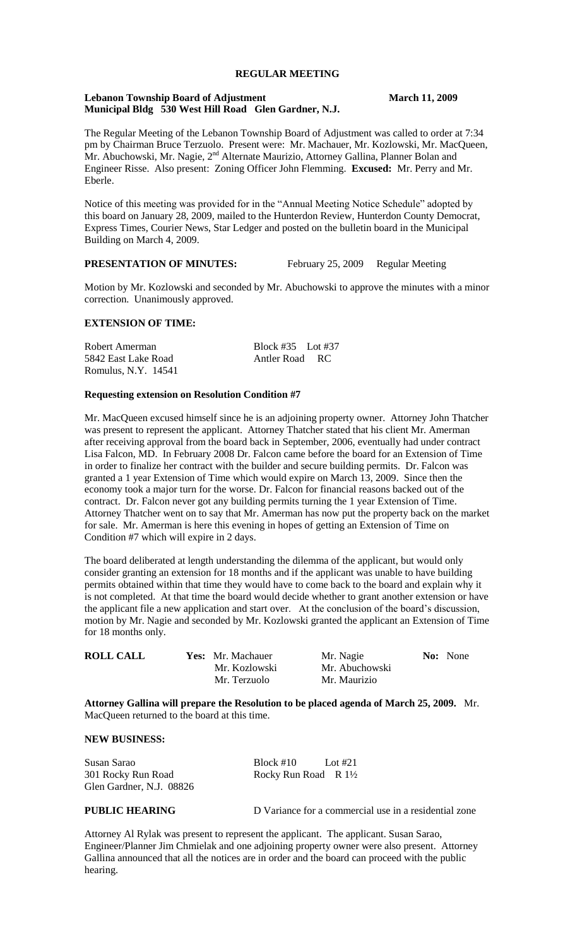# **REGULAR MEETING**

#### **Lebanon Township Board of Adjustment March 11, 2009 Municipal Bldg 530 West Hill Road Glen Gardner, N.J.**

The Regular Meeting of the Lebanon Township Board of Adjustment was called to order at 7:34 pm by Chairman Bruce Terzuolo. Present were: Mr. Machauer, Mr. Kozlowski, Mr. MacQueen, Mr. Abuchowski, Mr. Nagie, 2<sup>nd</sup> Alternate Maurizio, Attorney Gallina, Planner Bolan and Engineer Risse. Also present: Zoning Officer John Flemming. **Excused:** Mr. Perry and Mr. Eberle.

Notice of this meeting was provided for in the "Annual Meeting Notice Schedule" adopted by this board on January 28, 2009, mailed to the Hunterdon Review, Hunterdon County Democrat, Express Times, Courier News, Star Ledger and posted on the bulletin board in the Municipal Building on March 4, 2009.

## **PRESENTATION OF MINUTES:** February 25, 2009 Regular Meeting

Motion by Mr. Kozlowski and seconded by Mr. Abuchowski to approve the minutes with a minor correction. Unanimously approved.

# **EXTENSION OF TIME:**

| Robert Amerman      | Block $\#35$ Lot $\#37$ |  |
|---------------------|-------------------------|--|
| 5842 East Lake Road | Antler Road RC          |  |
| Romulus, N.Y. 14541 |                         |  |

#### **Requesting extension on Resolution Condition #7**

Mr. MacQueen excused himself since he is an adjoining property owner. Attorney John Thatcher was present to represent the applicant. Attorney Thatcher stated that his client Mr. Amerman after receiving approval from the board back in September, 2006, eventually had under contract Lisa Falcon, MD. In February 2008 Dr. Falcon came before the board for an Extension of Time in order to finalize her contract with the builder and secure building permits. Dr. Falcon was granted a 1 year Extension of Time which would expire on March 13, 2009. Since then the economy took a major turn for the worse. Dr. Falcon for financial reasons backed out of the contract. Dr. Falcon never got any building permits turning the 1 year Extension of Time. Attorney Thatcher went on to say that Mr. Amerman has now put the property back on the market for sale. Mr. Amerman is here this evening in hopes of getting an Extension of Time on Condition #7 which will expire in 2 days.

The board deliberated at length understanding the dilemma of the applicant, but would only consider granting an extension for 18 months and if the applicant was unable to have building permits obtained within that time they would have to come back to the board and explain why it is not completed. At that time the board would decide whether to grant another extension or have the applicant file a new application and start over. At the conclusion of the board's discussion, motion by Mr. Nagie and seconded by Mr. Kozlowski granted the applicant an Extension of Time for 18 months only.

| <b>ROLL CALL</b> | <b>Yes:</b> Mr. Machauer<br>Mr. Kozlowski | Mr. Nagie<br>Mr. Abuchowski | <b>No:</b> None |
|------------------|-------------------------------------------|-----------------------------|-----------------|
|                  | Mr. Terzuolo                              | Mr. Maurizio                |                 |

**Attorney Gallina will prepare the Resolution to be placed agenda of March 25, 2009.** Mr. MacQueen returned to the board at this time.

### **NEW BUSINESS:**

Susan Sarao Block #10 Lot #21 301 Rocky Run Road Rocky Run Road R 1<sup>1</sup>/<sub>2</sub> Glen Gardner, N.J. 08826

**PUBLIC HEARING** D Variance for a commercial use in a residential zone

Attorney Al Rylak was present to represent the applicant. The applicant. Susan Sarao, Engineer/Planner Jim Chmielak and one adjoining property owner were also present. Attorney Gallina announced that all the notices are in order and the board can proceed with the public hearing.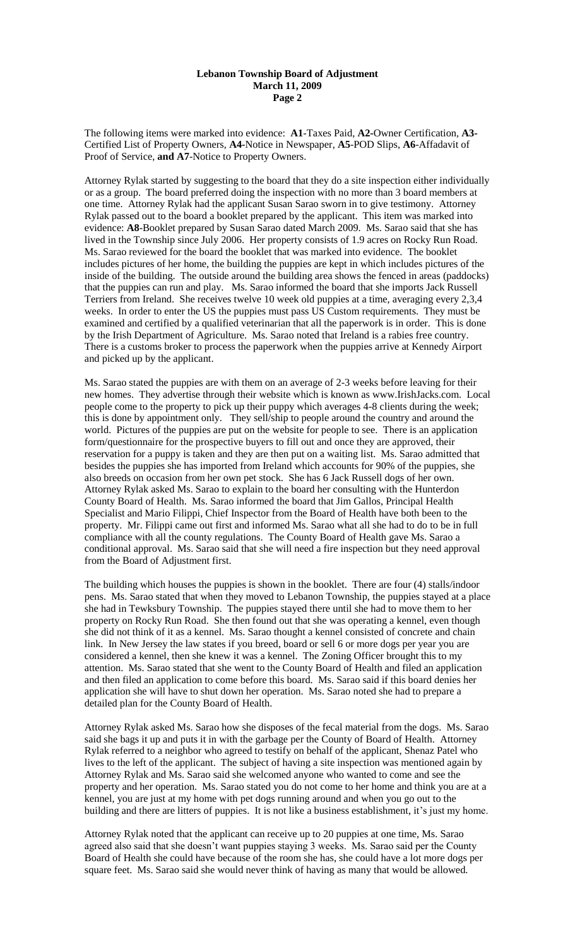### **Lebanon Township Board of Adjustment March 11, 2009 Page 2**

The following items were marked into evidence: **A1**-Taxes Paid, **A2-**Owner Certification, **A3-** Certified List of Property Owners, **A4-**Notice in Newspaper, **A5**-POD Slips, **A6**-Affadavit of Proof of Service, **and A7**-Notice to Property Owners.

Attorney Rylak started by suggesting to the board that they do a site inspection either individually or as a group. The board preferred doing the inspection with no more than 3 board members at one time. Attorney Rylak had the applicant Susan Sarao sworn in to give testimony. Attorney Rylak passed out to the board a booklet prepared by the applicant. This item was marked into evidence: **A8**-Booklet prepared by Susan Sarao dated March 2009. Ms. Sarao said that she has lived in the Township since July 2006. Her property consists of 1.9 acres on Rocky Run Road. Ms. Sarao reviewed for the board the booklet that was marked into evidence. The booklet includes pictures of her home, the building the puppies are kept in which includes pictures of the inside of the building. The outside around the building area shows the fenced in areas (paddocks) that the puppies can run and play. Ms. Sarao informed the board that she imports Jack Russell Terriers from Ireland. She receives twelve 10 week old puppies at a time, averaging every 2,3,4 weeks. In order to enter the US the puppies must pass US Custom requirements. They must be examined and certified by a qualified veterinarian that all the paperwork is in order. This is done by the Irish Department of Agriculture. Ms. Sarao noted that Ireland is a rabies free country. There is a customs broker to process the paperwork when the puppies arrive at Kennedy Airport and picked up by the applicant.

Ms. Sarao stated the puppies are with them on an average of 2-3 weeks before leaving for their new homes. They advertise through their website which is known as www.IrishJacks.com. Local people come to the property to pick up their puppy which averages 4-8 clients during the week; this is done by appointment only. They sell/ship to people around the country and around the world. Pictures of the puppies are put on the website for people to see. There is an application form/questionnaire for the prospective buyers to fill out and once they are approved, their reservation for a puppy is taken and they are then put on a waiting list. Ms. Sarao admitted that besides the puppies she has imported from Ireland which accounts for 90% of the puppies, she also breeds on occasion from her own pet stock. She has 6 Jack Russell dogs of her own. Attorney Rylak asked Ms. Sarao to explain to the board her consulting with the Hunterdon County Board of Health. Ms. Sarao informed the board that Jim Gallos, Principal Health Specialist and Mario Filippi, Chief Inspector from the Board of Health have both been to the property. Mr. Filippi came out first and informed Ms. Sarao what all she had to do to be in full compliance with all the county regulations. The County Board of Health gave Ms. Sarao a conditional approval. Ms. Sarao said that she will need a fire inspection but they need approval from the Board of Adjustment first.

The building which houses the puppies is shown in the booklet. There are four (4) stalls/indoor pens. Ms. Sarao stated that when they moved to Lebanon Township, the puppies stayed at a place she had in Tewksbury Township. The puppies stayed there until she had to move them to her property on Rocky Run Road. She then found out that she was operating a kennel, even though she did not think of it as a kennel. Ms. Sarao thought a kennel consisted of concrete and chain link. In New Jersey the law states if you breed, board or sell 6 or more dogs per year you are considered a kennel, then she knew it was a kennel. The Zoning Officer brought this to my attention. Ms. Sarao stated that she went to the County Board of Health and filed an application and then filed an application to come before this board. Ms. Sarao said if this board denies her application she will have to shut down her operation. Ms. Sarao noted she had to prepare a detailed plan for the County Board of Health.

Attorney Rylak asked Ms. Sarao how she disposes of the fecal material from the dogs. Ms. Sarao said she bags it up and puts it in with the garbage per the County of Board of Health. Attorney Rylak referred to a neighbor who agreed to testify on behalf of the applicant, Shenaz Patel who lives to the left of the applicant. The subject of having a site inspection was mentioned again by Attorney Rylak and Ms. Sarao said she welcomed anyone who wanted to come and see the property and her operation. Ms. Sarao stated you do not come to her home and think you are at a kennel, you are just at my home with pet dogs running around and when you go out to the building and there are litters of puppies. It is not like a business establishment, it's just my home.

Attorney Rylak noted that the applicant can receive up to 20 puppies at one time, Ms. Sarao agreed also said that she doesn't want puppies staying 3 weeks. Ms. Sarao said per the County Board of Health she could have because of the room she has, she could have a lot more dogs per square feet. Ms. Sarao said she would never think of having as many that would be allowed.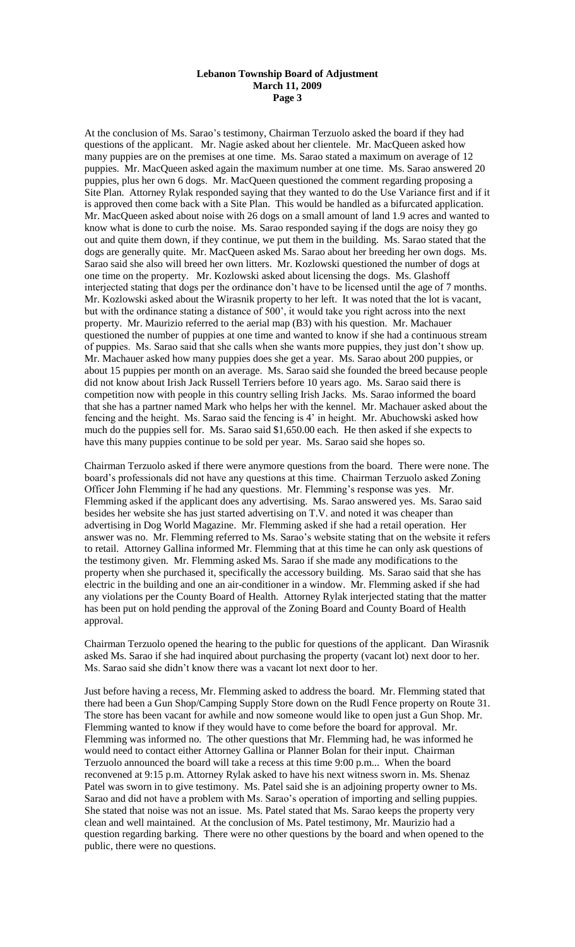### **Lebanon Township Board of Adjustment March 11, 2009 Page 3**

At the conclusion of Ms. Sarao's testimony, Chairman Terzuolo asked the board if they had questions of the applicant. Mr. Nagie asked about her clientele. Mr. MacQueen asked how many puppies are on the premises at one time. Ms. Sarao stated a maximum on average of 12 puppies. Mr. MacQueen asked again the maximum number at one time. Ms. Sarao answered 20 puppies, plus her own 6 dogs. Mr. MacQueen questioned the comment regarding proposing a Site Plan. Attorney Rylak responded saying that they wanted to do the Use Variance first and if it is approved then come back with a Site Plan. This would be handled as a bifurcated application. Mr. MacQueen asked about noise with 26 dogs on a small amount of land 1.9 acres and wanted to know what is done to curb the noise. Ms. Sarao responded saying if the dogs are noisy they go out and quite them down, if they continue, we put them in the building. Ms. Sarao stated that the dogs are generally quite. Mr. MacQueen asked Ms. Sarao about her breeding her own dogs. Ms. Sarao said she also will breed her own litters. Mr. Kozlowski questioned the number of dogs at one time on the property. Mr. Kozlowski asked about licensing the dogs. Ms. Glashoff interjected stating that dogs per the ordinance don't have to be licensed until the age of 7 months. Mr. Kozlowski asked about the Wirasnik property to her left. It was noted that the lot is vacant, but with the ordinance stating a distance of 500', it would take you right across into the next property. Mr. Maurizio referred to the aerial map (B3) with his question. Mr. Machauer questioned the number of puppies at one time and wanted to know if she had a continuous stream of puppies. Ms. Sarao said that she calls when she wants more puppies, they just don't show up. Mr. Machauer asked how many puppies does she get a year. Ms. Sarao about 200 puppies, or about 15 puppies per month on an average. Ms. Sarao said she founded the breed because people did not know about Irish Jack Russell Terriers before 10 years ago. Ms. Sarao said there is competition now with people in this country selling Irish Jacks. Ms. Sarao informed the board that she has a partner named Mark who helps her with the kennel. Mr. Machauer asked about the fencing and the height. Ms. Sarao said the fencing is 4' in height. Mr. Abuchowski asked how much do the puppies sell for. Ms. Sarao said \$1,650.00 each. He then asked if she expects to have this many puppies continue to be sold per year. Ms. Sarao said she hopes so.

Chairman Terzuolo asked if there were anymore questions from the board. There were none. The board's professionals did not have any questions at this time. Chairman Terzuolo asked Zoning Officer John Flemming if he had any questions. Mr. Flemming's response was yes. Mr. Flemming asked if the applicant does any advertising. Ms. Sarao answered yes. Ms. Sarao said besides her website she has just started advertising on T.V. and noted it was cheaper than advertising in Dog World Magazine. Mr. Flemming asked if she had a retail operation. Her answer was no. Mr. Flemming referred to Ms. Sarao's website stating that on the website it refers to retail. Attorney Gallina informed Mr. Flemming that at this time he can only ask questions of the testimony given. Mr. Flemming asked Ms. Sarao if she made any modifications to the property when she purchased it, specifically the accessory building. Ms. Sarao said that she has electric in the building and one an air-conditioner in a window. Mr. Flemming asked if she had any violations per the County Board of Health. Attorney Rylak interjected stating that the matter has been put on hold pending the approval of the Zoning Board and County Board of Health approval.

Chairman Terzuolo opened the hearing to the public for questions of the applicant. Dan Wirasnik asked Ms. Sarao if she had inquired about purchasing the property (vacant lot) next door to her. Ms. Sarao said she didn't know there was a vacant lot next door to her.

Just before having a recess, Mr. Flemming asked to address the board. Mr. Flemming stated that there had been a Gun Shop/Camping Supply Store down on the Rudl Fence property on Route 31. The store has been vacant for awhile and now someone would like to open just a Gun Shop. Mr. Flemming wanted to know if they would have to come before the board for approval. Mr. Flemming was informed no. The other questions that Mr. Flemming had, he was informed he would need to contact either Attorney Gallina or Planner Bolan for their input. Chairman Terzuolo announced the board will take a recess at this time 9:00 p.m... When the board reconvened at 9:15 p.m. Attorney Rylak asked to have his next witness sworn in. Ms. Shenaz Patel was sworn in to give testimony. Ms. Patel said she is an adjoining property owner to Ms. Sarao and did not have a problem with Ms. Sarao's operation of importing and selling puppies. She stated that noise was not an issue. Ms. Patel stated that Ms. Sarao keeps the property very clean and well maintained. At the conclusion of Ms. Patel testimony, Mr. Maurizio had a question regarding barking. There were no other questions by the board and when opened to the public, there were no questions.